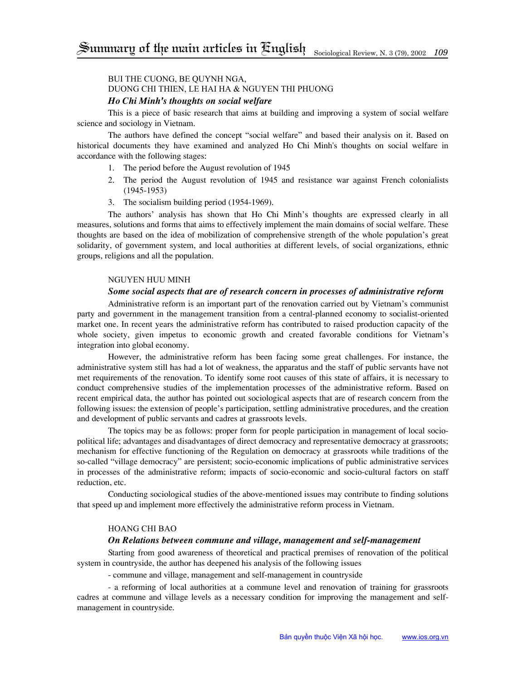## Bui The Cuong, Be Quynh Nga,

# Duong Chi Thien, Le Hai Ha & Nguyen Thi Phuong

## *Ho Chi Minh's thoughts on social welfare*

This is a piece of basic research that aims at building and improving a system of social welfare science and sociology in Vietnam.

The authors have defined the concept "social welfare" and based their analysis on it. Based on historical documents they have examined and analyzed Ho Chi Minh's thoughts on social welfare in accordance with the following stages:

- 1. The period before the August revolution of 1945
- 2. The period the August revolution of 1945 and resistance war against French colonialists (1945-1953)
- 3. The socialism building period (1954-1969).

The authors' analysis has shown that Ho Chi Minh's thoughts are expressed clearly in all measures, solutions and forms that aims to effectively implement the main domains of social welfare. These thoughts are based on the idea of mobilization of comprehensive strength of the whole population's great solidarity, of government system, and local authorities at different levels, of social organizations, ethnic groups, religions and all the population.

### Nguyen Huu Minh

### *Some social aspects that are of research concern in processes of administrative reform*

Administrative reform is an important part of the renovation carried out by Vietnam's communist party and government in the management transition from a central-planned economy to socialist-oriented market one. In recent years the administrative reform has contributed to raised production capacity of the whole society, given impetus to economic growth and created favorable conditions for Vietnam's integration into global economy.

However, the administrative reform has been facing some great challenges. For instance, the administrative system still has had a lot of weakness, the apparatus and the staff of public servants have not met requirements of the renovation. To identify some root causes of this state of affairs, it is necessary to conduct comprehensive studies of the implementation processes of the administrative reform. Based on recent empirical data, the author has pointed out sociological aspects that are of research concern from the following issues: the extension of people's participation, settling administrative procedures, and the creation and development of public servants and cadres at grassroots levels.

The topics may be as follows: proper form for people participation in management of local sociopolitical life; advantages and disadvantages of direct democracy and representative democracy at grassroots; mechanism for effective functioning of the Regulation on democracy at grassroots while traditions of the so-called "village democracy" are persistent; socio-economic implications of public administrative services in processes of the administrative reform; impacts of socio-economic and socio-cultural factors on staff reduction, etc.

Conducting sociological studies of the above-mentioned issues may contribute to finding solutions that speed up and implement more effectively the administrative reform process in Vietnam.

### Hoang Chi Bao

### *On Relations between commune and village, management and self-management*

Starting from good awareness of theoretical and practical premises of renovation of the political system in countryside, the author has deepened his analysis of the following issues

- commune and village, management and self-management in countryside

- a reforming of local authorities at a commune level and renovation of training for grassroots cadres at commune and village levels as a necessary condition for improving the management and selfmanagement in countryside.